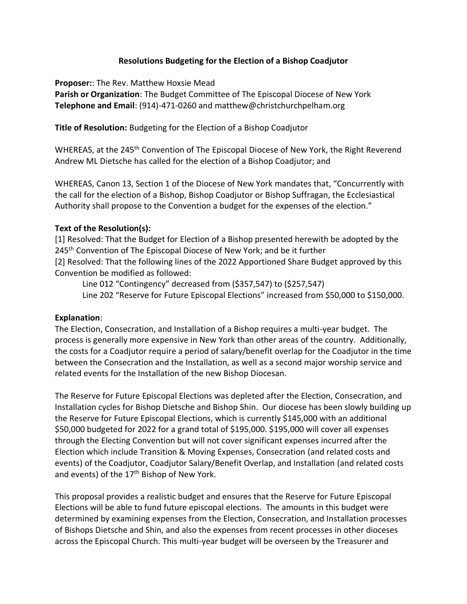## **Resolutions Budgeting for the Election of a Bishop Coadjutor**

**Proposer:**: The Rev. Matthew Hoxsie Mead

**Parish or Organization**: The Budget Committee of The Episcopal Diocese of New York **Telephone and Email**: (914)-471-0260 and matthew@christchurchpelham.org

**Title of Resolution:** Budgeting for the Election of a Bishop Coadjutor

WHEREAS, at the 245<sup>th</sup> Convention of The Episcopal Diocese of New York, the Right Reverend Andrew ML Dietsche has called for the election of a Bishop Coadjutor; and

WHEREAS, Canon 13, Section 1 of the Diocese of New York mandates that, "Concurrently with the call for the election of a Bishop, Bishop Coadjutor or Bishop Suffragan, the Ecclesiastical Authority shall propose to the Convention a budget for the expenses of the election."

## **Text of the Resolution(s):**

[1] Resolved: That the Budget for Election of a Bishop presented herewith be adopted by the 245<sup>th</sup> Convention of The Episcopal Diocese of New York; and be it further [2] Resolved: That the following lines of the 2022 Apportioned Share Budget approved by this Convention be modified as followed:

Line 012 "Contingency" decreased from (\$357,547) to (\$257,547) Line 202 "Reserve for Future Episcopal Elections" increased from \$50,000 to \$150,000.

#### **Explanation**:

The Election, Consecration, and Installation of a Bishop requires a multi-year budget. The process is generally more expensive in New York than other areas of the country. Additionally, the costs for a Coadjutor require a period of salary/benefit overlap for the Coadjutor in the time between the Consecration and the Installation, as well as a second major worship service and related events for the Installation of the new Bishop Diocesan.

The Reserve for Future Episcopal Elections was depleted after the Election, Consecration, and Installation cycles for Bishop Dietsche and Bishop Shin. Our diocese has been slowly building up the Reserve for Future Episcopal Elections, which is currently \$145,000 with an additional \$50,000 budgeted for 2022 for a grand total of \$195,000. \$195,000 will cover all expenses through the Electing Convention but will not cover significant expenses incurred after the Election which include Transition & Moving Expenses, Consecration (and related costs and events) of the Coadjutor, Coadjutor Salary/Benefit Overlap, and Installation (and related costs and events) of the 17<sup>th</sup> Bishop of New York.

This proposal provides a realistic budget and ensures that the Reserve for Future Episcopal Elections will be able to fund future episcopal elections. The amounts in this budget were determined by examining expenses from the Election, Consecration, and Installation processes of Bishops Dietsche and Shin, and also the expenses from recent processes in other dioceses across the Episcopal Church. This multi-year budget will be overseen by the Treasurer and